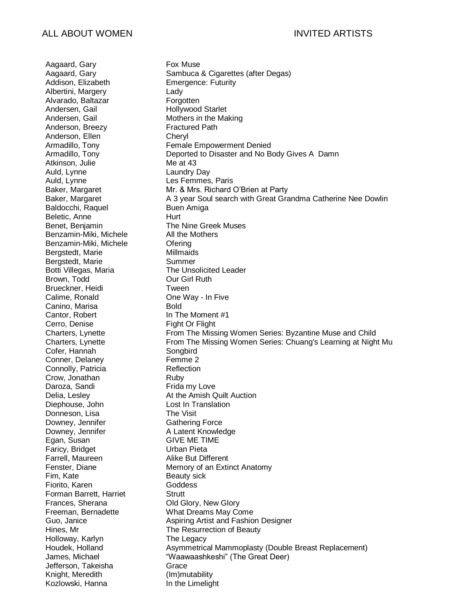Aagaard, Gary Fox Muse Addison, Elizabeth Emergence: Futurity Albertini, Margery **Lady** Alvarado, Baltazar **Forgotten** Andersen, Gail **Hollywood Starlet** Andersen, Gail Mothers in the Making Anderson, Breezy **Fractured Path** Anderson, Ellen Cheryl Atkinson, Julie Me at 43 Auld, Lynne Laundry Day Auld, Lynne Les Femmes, Paris Baldocchi, Raquel Buen Amiga Beletic, Anne Hurt Benzamin-Miki, Michele All the Mothers Benzamin-Miki, Michele Ofering Bergstedt, Marie **Millmaids** Bergstedt, Marie **Summer** Brown, Todd **Our Girl Ruth** Brueckner, Heidi **Tween** Calime, Ronald **One Way - In Five** Canino, Marisa **Bold** Cantor, Robert In The Moment #1 Cerro, Denise Fight Or Flight Cofer, Hannah Songbird Conner, Delaney Femme 2 Connolly, Patricia Reflection Crow, Jonathan Ruby Daroza, Sandi **Frida my Love** Diephouse, John Lost In Translation Donneson, Lisa The Visit Downey, Jennifer Gathering Force Downey, Jennifer **A Latent Knowledge** Egan, Susan GIVE ME TIME Faricy, Bridget Urban Pieta Farrell, Maureen **Alike But Different** Fim, Kate Beauty sick Fiorito, Karen **Goddess** Forman Barrett, Harriet **Strutt** Frances, Sherana **Old Glory, New Glory** Holloway, Karlyn The Legacy Jefferson, Takeisha Grace Knight, Meredith (Im)mutability Kozlowski, Hanna In the Limelight

Aagaard, Gary Sambuca & Cigarettes (after Degas) Armadillo, Tony **Female Empowerment Denied** Armadillo, Tony Deported to Disaster and No Body Gives A Damn Baker, Margaret Mr. & Mrs. Richard O'Brien at Party Baker, Margaret **A** 3 year Soul search with Great Grandma Catherine Nee Dowlin Benet, Benjamin The Nine Greek Muses Botti Villegas, Maria The Unsolicited Leader Charters, Lynette **From The Missing Women Series: Byzantine Muse and Child** Charters, Lynette From The Missing Women Series: Chuang's Learning at Night Mu Delia, Lesley **At the Amish Quilt Auction** Fenster, Diane Memory of an Extinct Anatomy Freeman, Bernadette What Dreams May Come Guo, Janice **Aspiring Artist and Fashion Designer** Hines, Mr The Resurrection of Beauty Houdek, Holland **Asymmetrical Mammoplasty (Double Breast Replacement)** James, Michael "Waawaashkeshi" (The Great Deer)